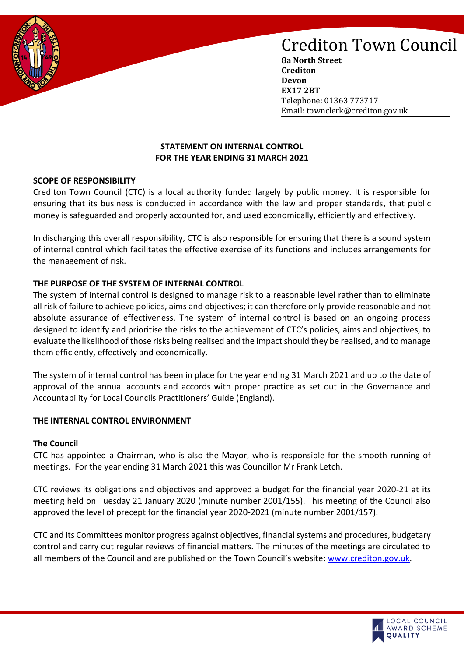

**8a North Street Crediton Devon EX17 2BT** Telephone: 01363 773717 Email: townclerk@crediton.gov.uk

## **STATEMENT ON INTERNAL CONTROL FOR THE YEAR ENDING 31 MARCH 2021**

## **SCOPE OF RESPONSIBILITY**

Crediton Town Council (CTC) is a local authority funded largely by public money. It is responsible for ensuring that its business is conducted in accordance with the law and proper standards, that public money is safeguarded and properly accounted for, and used economically, efficiently and effectively.

In discharging this overall responsibility, CTC is also responsible for ensuring that there is a sound system of internal control which facilitates the effective exercise of its functions and includes arrangements for the management of risk.

### **THE PURPOSE OF THE SYSTEM OF INTERNAL CONTROL**

The system of internal control is designed to manage risk to a reasonable level rather than to eliminate all risk of failure to achieve policies, aims and objectives; it can therefore only provide reasonable and not absolute assurance of effectiveness. The system of internal control is based on an ongoing process designed to identify and prioritise the risks to the achievement of CTC's policies, aims and objectives, to evaluate the likelihood of those risks being realised and the impact should they be realised, and to manage them efficiently, effectively and economically.

The system of internal control has been in place for the year ending 31 March 2021 and up to the date of approval of the annual accounts and accords with proper practice as set out in the Governance and Accountability for Local Councils Practitioners' Guide (England).

### **THE INTERNAL CONTROL ENVIRONMENT**

### **The Council**

CTC has appointed a Chairman, who is also the Mayor, who is responsible for the smooth running of meetings. For the year ending 31 March 2021 this was Councillor Mr Frank Letch.

CTC reviews its obligations and objectives and approved a budget for the financial year 2020-21 at its meeting held on Tuesday 21 January 2020 (minute number 2001/155). This meeting of the Council also approved the level of precept for the financial year 2020-2021 (minute number 2001/157).

CTC and its Committees monitor progress against objectives, financial systems and procedures, budgetary control and carry out regular reviews of financial matters. The minutes of the meetings are circulated to all members of the Council and are published on the Town Council's website: [www.crediton.gov.uk.](http://www.crediton.gov.uk/)

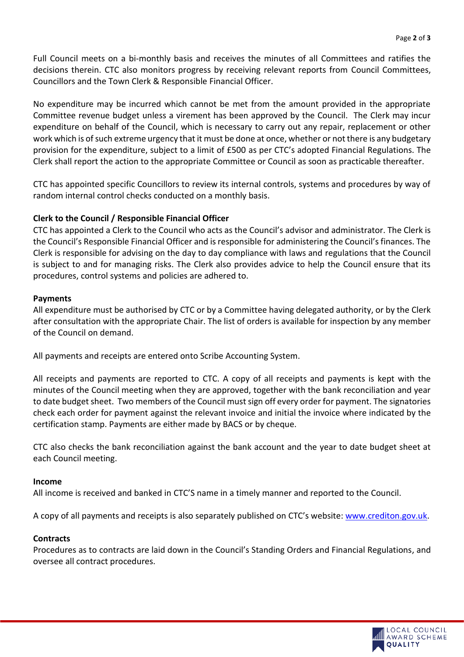Full Council meets on a bi-monthly basis and receives the minutes of all Committees and ratifies the decisions therein. CTC also monitors progress by receiving relevant reports from Council Committees, Councillors and the Town Clerk & Responsible Financial Officer.

No expenditure may be incurred which cannot be met from the amount provided in the appropriate Committee revenue budget unless a virement has been approved by the Council. The Clerk may incur expenditure on behalf of the Council, which is necessary to carry out any repair, replacement or other work which is of such extreme urgency that it must be done at once, whether or not there is any budgetary provision for the expenditure, subject to a limit of £500 as per CTC's adopted Financial Regulations. The Clerk shall report the action to the appropriate Committee or Council as soon as practicable thereafter.

CTC has appointed specific Councillors to review its internal controls, systems and procedures by way of random internal control checks conducted on a monthly basis.

# **Clerk to the Council / Responsible Financial Officer**

CTC has appointed a Clerk to the Council who acts as the Council's advisor and administrator. The Clerk is the Council's Responsible Financial Officer and is responsible for administering the Council's finances. The Clerk is responsible for advising on the day to day compliance with laws and regulations that the Council is subject to and for managing risks. The Clerk also provides advice to help the Council ensure that its procedures, control systems and policies are adhered to.

## **Payments**

All expenditure must be authorised by CTC or by a Committee having delegated authority, or by the Clerk after consultation with the appropriate Chair. The list of orders is available for inspection by any member of the Council on demand.

All payments and receipts are entered onto Scribe Accounting System.

All receipts and payments are reported to CTC. A copy of all receipts and payments is kept with the minutes of the Council meeting when they are approved, together with the bank reconciliation and year to date budget sheet. Two members of the Council must sign off every order for payment. The signatories check each order for payment against the relevant invoice and initial the invoice where indicated by the certification stamp. Payments are either made by BACS or by cheque.

CTC also checks the bank reconciliation against the bank account and the year to date budget sheet at each Council meeting.

### **Income**

All income is received and banked in CTC'S name in a timely manner and reported to the Council.

A copy of all payments and receipts is also separately published on CTC's website: [www.crediton.gov.uk.](http://www.crediton.gov.uk/)

## **Contracts**

Procedures as to contracts are laid down in the Council's Standing Orders and Financial Regulations, and oversee all contract procedures.